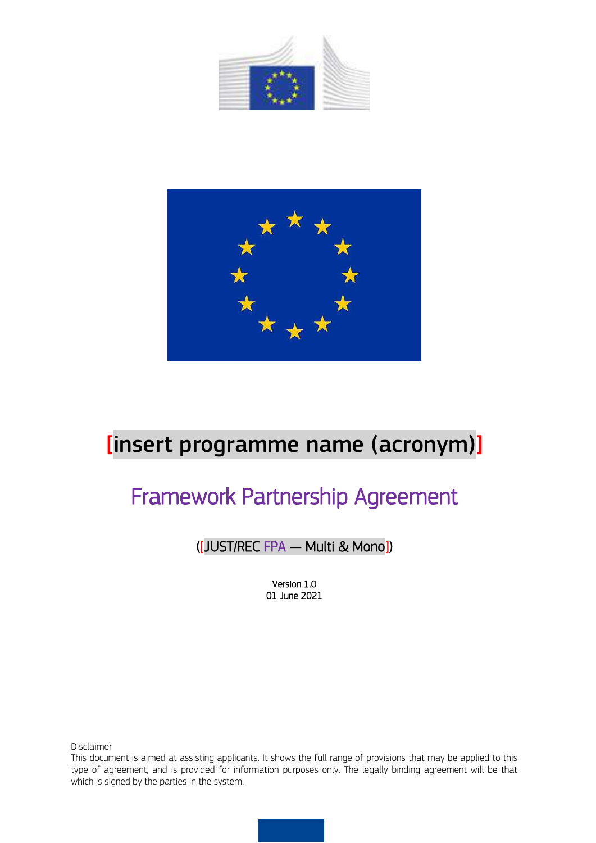



# [insert programme name (acronym)]

# Framework Partnership Agreement

## ([JUST/REC FPA — Multi & Mono])

Version 1.0 01 June 2021

Disclaimer

This document is aimed at assisting applicants. It shows the full range of provisions that may be applied to this type of agreement, and is provided for information purposes only. The legally binding agreement will be that which is signed by the parties in the system.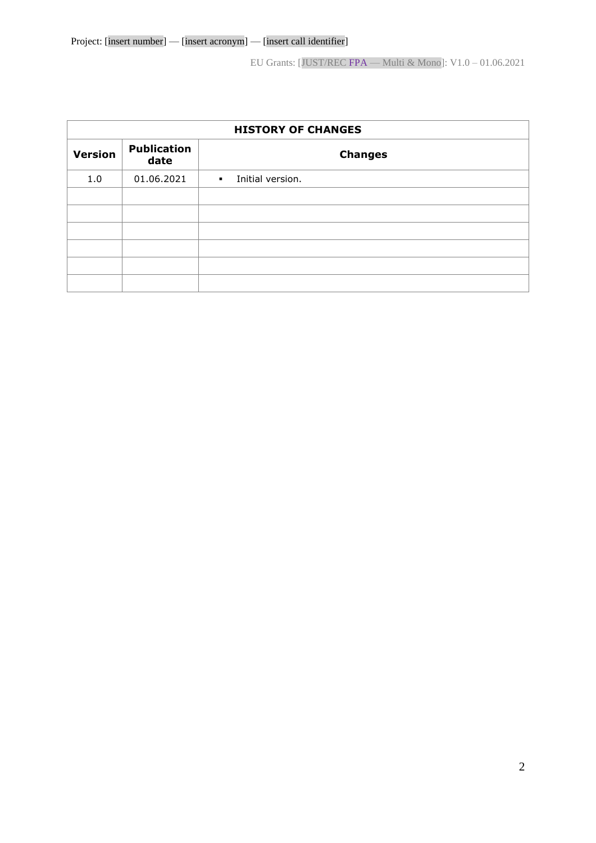| <b>HISTORY OF CHANGES</b> |                            |                                               |  |  |  |  |  |
|---------------------------|----------------------------|-----------------------------------------------|--|--|--|--|--|
| <b>Version</b>            | <b>Publication</b><br>date | <b>Changes</b>                                |  |  |  |  |  |
| 1.0                       | 01.06.2021                 | Initial version.<br>$\mathbf{R}^{\text{max}}$ |  |  |  |  |  |
|                           |                            |                                               |  |  |  |  |  |
|                           |                            |                                               |  |  |  |  |  |
|                           |                            |                                               |  |  |  |  |  |
|                           |                            |                                               |  |  |  |  |  |
|                           |                            |                                               |  |  |  |  |  |
|                           |                            |                                               |  |  |  |  |  |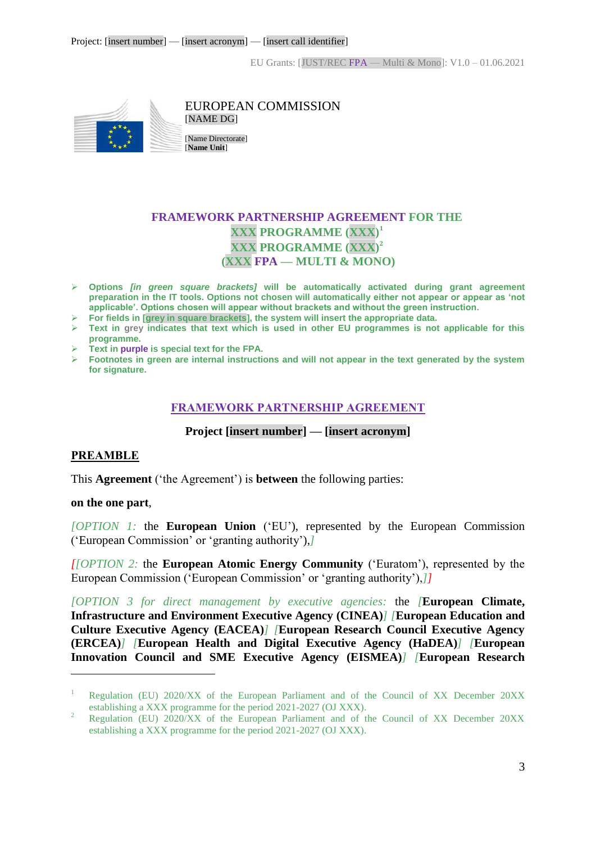

EUROPEAN COMMISSION [NAME DG]

[Name Directorate] [**Name Unit**]

## **FRAMEWORK PARTNERSHIP AGREEMENT FOR THE XXX PROGRAMME (XXX) 1 XXX PROGRAMME (XXX) 2 (XXX FPA — MULTI & MONO)**

- **Options** *[in green square brackets]* **will be automatically activated during grant agreement preparation in the IT tools. Options not chosen will automatically either not appear or appear as 'not applicable'. Options chosen will appear without brackets and without the green instruction.**
- **For fields in [grey in square brackets], the system will insert the appropriate data.**
- $\triangleright$  Text in grey indicates that text which is used in other EU programmes is not applicable for this **programme.**
- **Text in purple is special text for the FPA.**
- <span id="page-2-0"></span> **Footnotes in green are internal instructions and will not appear in the text generated by the system for signature.**

## **FRAMEWORK PARTNERSHIP AGREEMENT**

#### **Project [insert number] — [insert acronym]**

#### <span id="page-2-1"></span>**PREAMBLE**

This **Agreement** ('the Agreement') is **between** the following parties:

#### **on the one part**,

 $\overline{a}$ 

*[OPTION 1:* the **European Union** ('EU'), represented by the European Commission ('European Commission' or 'granting authority'),*]* 

*[[OPTION 2:* the **European Atomic Energy Community** ('Euratom'), represented by the European Commission ('European Commission' or 'granting authority'),*]]*

*[OPTION 3 for direct management by executive agencies:* the *[***European Climate, Infrastructure and Environment Executive Agency (CINEA)***] [***European Education and Culture Executive Agency (EACEA)***] [***European Research Council Executive Agency (ERCEA)***] [***European Health and Digital Executive Agency (HaDEA)***] [***European Innovation Council and SME Executive Agency (EISMEA)***] [***European Research** 

<sup>&</sup>lt;sup>1</sup> Regulation (EU) 2020/XX of the European Parliament and of the Council of XX December 20XX establishing a XXX programme for the period 2021-2027 (OJ XXX).

<sup>&</sup>lt;sup>2</sup> Regulation (EU) 2020/XX of the European Parliament and of the Council of XX December 20XX establishing a XXX programme for the period 2021-2027 (OJ XXX).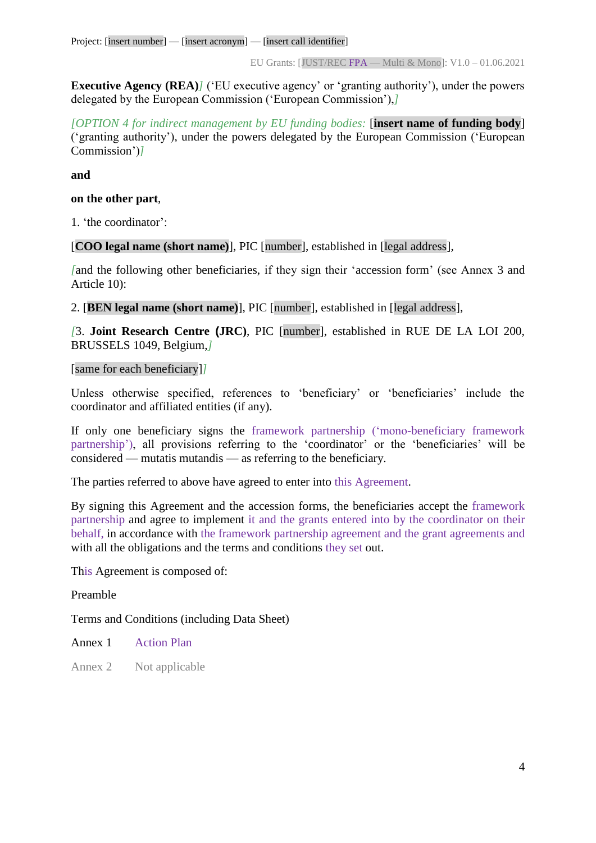**Executive Agency (REA)<sup>***]***</sup> ('EU executive agency' or 'granting authority'), under the powers** delegated by the European Commission ('European Commission'),*]*

*[OPTION 4 for indirect management by EU funding bodies:* [**insert name of funding body**] ('granting authority'), under the powers delegated by the European Commission ('European Commission')*]*

**and**

#### **on the other part**,

1. 'the coordinator':

[**COO legal name (short name)**], PIC [number], established in [legal address],

*[*and the following other beneficiaries, if they sign their 'accession form' (see Annex 3 and Article 10):

2. [**BEN legal name (short name)**], PIC [number], established in [legal address],

*[*3. **Joint Research Centre (JRC)**, PIC [number], established in RUE DE LA LOI 200, BRUSSELS 1049, Belgium,*]*

[same for each beneficiary]*]*

Unless otherwise specified, references to 'beneficiary' or 'beneficiaries' include the coordinator and affiliated entities (if any).

If only one beneficiary signs the framework partnership ('mono-beneficiary framework partnership'), all provisions referring to the 'coordinator' or the 'beneficiaries' will be considered — mutatis mutandis — as referring to the beneficiary.

The parties referred to above have agreed to enter into this Agreement.

By signing this Agreement and the accession forms, the beneficiaries accept the framework partnership and agree to implement it and the grants entered into by the coordinator on their behalf, in accordance with the framework partnership agreement and the grant agreements and with all the obligations and the terms and conditions they set out.

This Agreement is composed of:

Preamble

Terms and Conditions (including Data Sheet)

Annex 1 Action Plan

Annex 2 Not applicable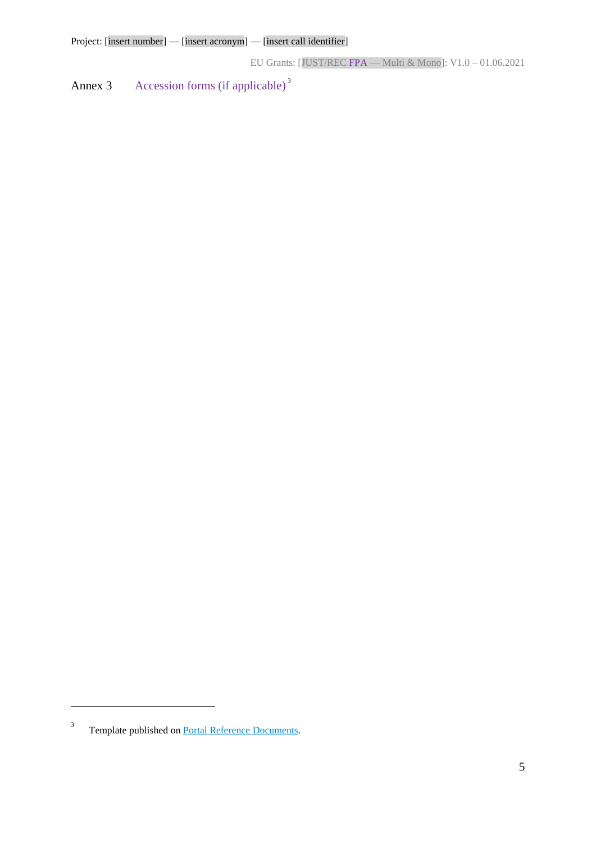Annex 3 Accession forms (if applicable)<sup>3</sup>

 $\overline{a}$ 

<sup>3</sup> Template published on [Portal Reference Documents.](https://ec.europa.eu/info/funding-tenders/opportunities/portal/screen/how-to-participate/reference-documents)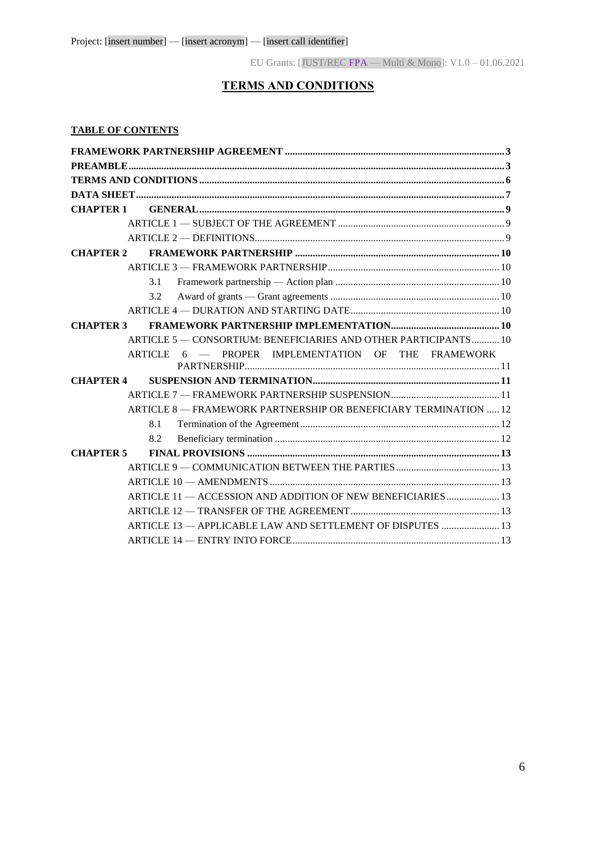## **TERMS AND CONDITIONS**

#### <span id="page-5-0"></span>**TABLE OF CONTENTS**

| <b>CHAPTER 1</b> |                                                                  |
|------------------|------------------------------------------------------------------|
|                  |                                                                  |
|                  |                                                                  |
| <b>CHAPTER 2</b> |                                                                  |
|                  |                                                                  |
|                  | 3.1                                                              |
|                  | 3.2                                                              |
|                  |                                                                  |
| <b>CHAPTER 3</b> |                                                                  |
|                  | ARTICLE 5 - CONSORTIUM: BENEFICIARIES AND OTHER PARTICIPANTS 10  |
|                  | ARTICLE 6 - PROPER IMPLEMENTATION OF THE FRAMEWORK               |
| <b>CHAPTER 4</b> |                                                                  |
|                  |                                                                  |
|                  | ARTICLE 8 - FRAMEWORK PARTNERSHIP OR BENEFICIARY TERMINATION  12 |
|                  | 8.1                                                              |
|                  | 8.2                                                              |
| <b>CHAPTER 5</b> |                                                                  |
|                  |                                                                  |
|                  |                                                                  |
|                  | ARTICLE 11 - ACCESSION AND ADDITION OF NEW BENEFICIARIES  13     |
|                  |                                                                  |
|                  | ARTICLE 13 - APPLICABLE LAW AND SETTLEMENT OF DISPUTES  13       |
|                  |                                                                  |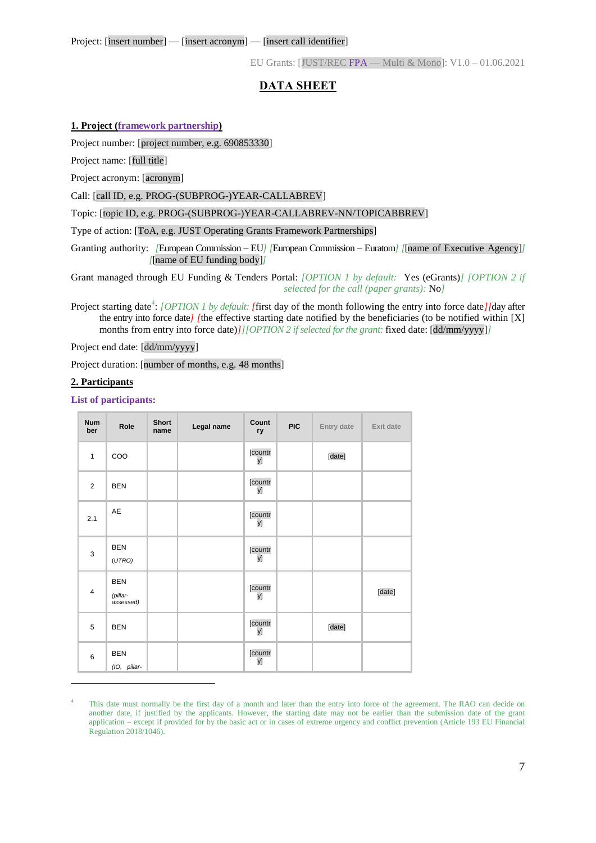## **DATA SHEET**

#### <span id="page-6-0"></span>**1. Project (framework partnership)**

Project number: [project number, e.g. 690853330]

Project name: [full title]

Project acronym: [acronym]

Call: [call ID, e.g. PROG-(SUBPROG-)YEAR-CALLABREV]

Topic: [topic ID, e.g. PROG-(SUBPROG-)YEAR-CALLABREV-NN/TOPICABBREV]

Type of action: [ToA, e.g. JUST Operating Grants Framework Partnerships]

Granting authority: *[European Commission – EU] [European Commission – Euratom] [*[name of Executive Agency]] *[*[name of EU funding body]*]*

Grant managed through EU Funding & Tenders Portal: *[OPTION 1 by default:* Yes (eGrants)*] [OPTION 2 if selected for the call (paper grants):* No*]*

Project starting date<sup>4</sup>: *[OPTION 1 by default: [first day of the month following the entry into force date][day after* the entry into force date*] [*the effective starting date notified by the beneficiaries (to be notified within [X] months from entry into force date)*]*[[OPTION 2 if selected for the grant: fixed date: [dd/mm/yyyy]]

Project end date: [dd/mm/yyyy]

Project duration: [number of months, e.g. 48 months]

#### **2. Participants**

 $\overline{a}$ 

**List of participants:**

| <b>Num</b><br>ber | Role                                | <b>Short</b><br>name | Legal name | Count<br>ry   | <b>PIC</b> | Entry date | Exit date |
|-------------------|-------------------------------------|----------------------|------------|---------------|------------|------------|-----------|
| $\mathbf{1}$      | COO                                 |                      |            | [countr<br>y] |            | [date]     |           |
| $\overline{2}$    | <b>BEN</b>                          |                      |            | [countr<br>y] |            |            |           |
| 2.1               | AE                                  |                      |            | [countr<br>y] |            |            |           |
| 3                 | <b>BEN</b><br>(UTRO)                |                      |            | [countr<br>y] |            |            |           |
| $\overline{4}$    | <b>BEN</b><br>(pillar-<br>assessed) |                      |            | [countr<br>y] |            |            | [date]    |
| $\overline{5}$    | <b>BEN</b>                          |                      |            | [countr<br>y] |            | [date]     |           |
| 6                 | <b>BEN</b><br>(IO, pillar-          |                      |            | [countr<br>y] |            |            |           |

This date must normally be the first day of a month and later than the entry into force of the agreement. The RAO can decide on another date, if justified by the applicants. However, the starting date may not be earlier than the submission date of the grant application – except if provided for by the basic act or in cases of extreme urgency and conflict prevention (Article 193 EU Financial Regulation 2018/1046).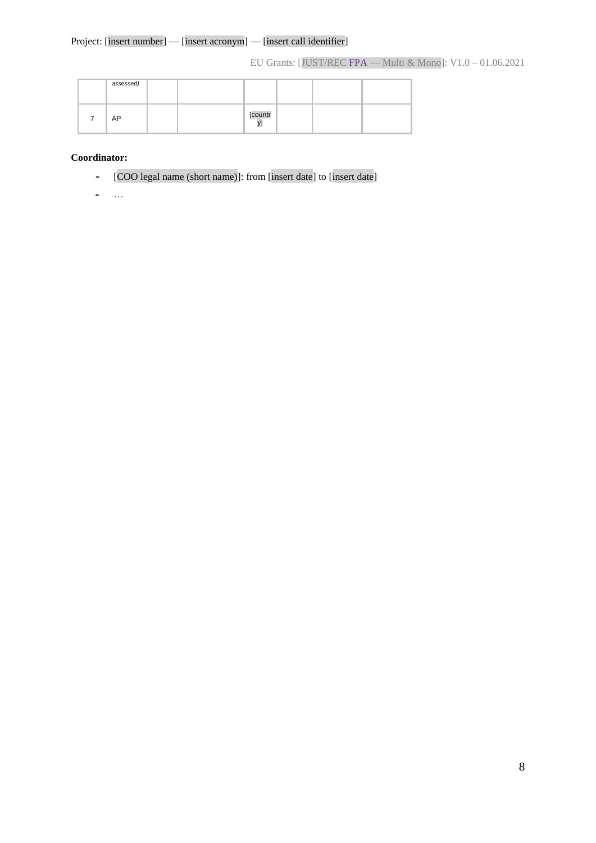#### Project: [insert number] — [insert acronym] — [insert call identifier]

EU Grants: [JUST/REC FPA — Multi & Mono]: V1.0 – 01.06.2021

|             | assessed) |  |         |  |  |
|-------------|-----------|--|---------|--|--|
| $7^{\circ}$ | AP        |  | [countr |  |  |

#### **Coordinator:**

**-** [COO legal name (short name)]: from [insert date] to [insert date]

**-** …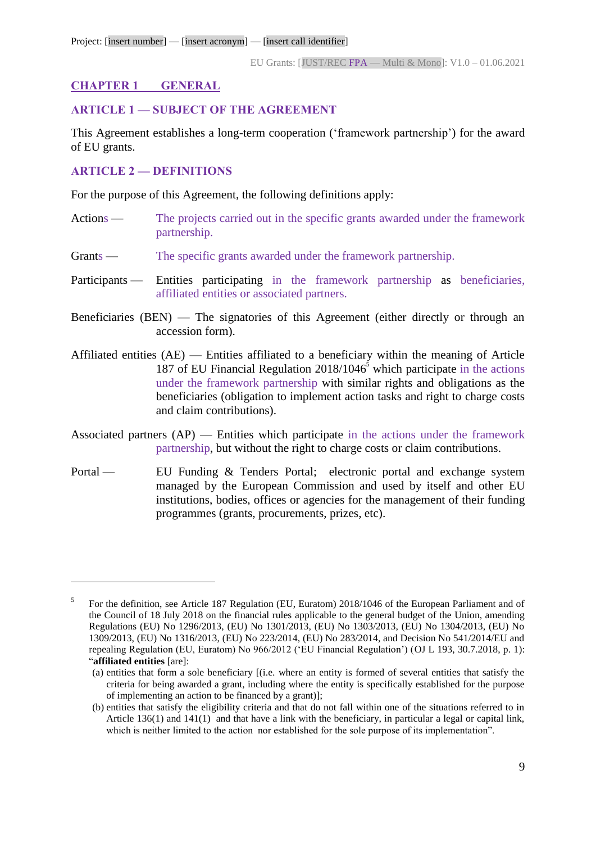## <span id="page-8-0"></span>**CHAPTER 1 GENERAL**

## <span id="page-8-1"></span>**ARTICLE 1 — SUBJECT OF THE AGREEMENT**

This Agreement establishes a long-term cooperation ('framework partnership') for the award of EU grants.

## <span id="page-8-2"></span>**ARTICLE 2 — DEFINITIONS**

 $\overline{a}$ 

For the purpose of this Agreement, the following definitions apply:

- Actions The projects carried out in the specific grants awarded under the framework partnership.
- Grants The specific grants awarded under the framework partnership.
- Participants Entities participating in the framework partnership as beneficiaries, affiliated entities or associated partners.
- Beneficiaries (BEN) The signatories of this Agreement (either directly or through an accession form).
- Affiliated entities (AE) Entities affiliated to a beneficiary within the meaning of Article 187 of EU Financial Regulation  $2018/1046^5$  which participate in the actions under the framework partnership with similar rights and obligations as the beneficiaries (obligation to implement action tasks and right to charge costs and claim contributions).
- Associated partners  $AP$ ) Entities which participate in the actions under the framework partnership, but without the right to charge costs or claim contributions.
- Portal EU Funding & Tenders Portal; electronic portal and exchange system managed by the European Commission and used by itself and other EU institutions, bodies, offices or agencies for the management of their funding programmes (grants, procurements, prizes, etc).

<sup>5</sup> For the definition, see Article 187 Regulation (EU, Euratom) 2018/1046 of the European Parliament and of the Council of 18 July 2018 on the financial rules applicable to the general budget of the Union, amending Regulations (EU) No 1296/2013, (EU) No 1301/2013, (EU) No 1303/2013, (EU) No 1304/2013, (EU) No 1309/2013, (EU) No 1316/2013, (EU) No 223/2014, (EU) No 283/2014, and Decision No 541/2014/EU and repealing Regulation (EU, Euratom) No 966/2012 ('EU Financial Regulation') (OJ L 193, 30.7.2018, p. 1): "**affiliated entities** [are]:

<sup>(</sup>a) entities that form a sole beneficiary [(i.e. where an entity is formed of several entities that satisfy the criteria for being awarded a grant, including where the entity is specifically established for the purpose of implementing an action to be financed by a grant)];

<sup>(</sup>b) entities that satisfy the eligibility criteria and that do not fall within one of the situations referred to in Article 136(1) and 141(1) and that have a link with the beneficiary, in particular a legal or capital link, which is neither limited to the action nor established for the sole purpose of its implementation".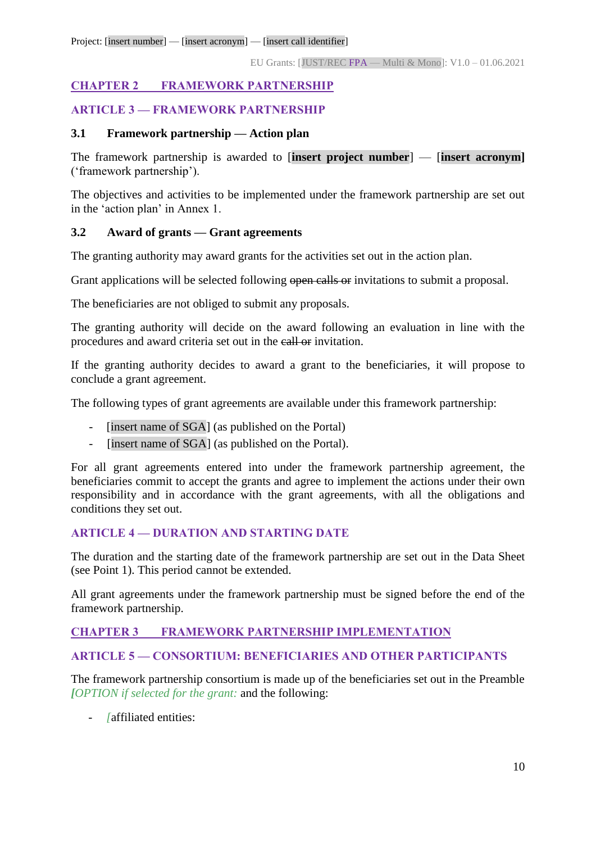## <span id="page-9-0"></span>**CHAPTER 2 FRAMEWORK PARTNERSHIP**

## <span id="page-9-1"></span>**ARTICLE 3 — FRAMEWORK PARTNERSHIP**

#### <span id="page-9-2"></span>**3.1 Framework partnership — Action plan**

The framework partnership is awarded to [**insert project number**] — [**insert acronym]** ('framework partnership').

The objectives and activities to be implemented under the framework partnership are set out in the 'action plan' in Annex 1.

#### <span id="page-9-3"></span>**3.2 Award of grants — Grant agreements**

The granting authority may award grants for the activities set out in the action plan.

Grant applications will be selected following open calls or invitations to submit a proposal.

The beneficiaries are not obliged to submit any proposals.

The granting authority will decide on the award following an evaluation in line with the procedures and award criteria set out in the call or invitation.

If the granting authority decides to award a grant to the beneficiaries, it will propose to conclude a grant agreement.

The following types of grant agreements are available under this framework partnership:

- [insert name of SGA] (as published on the Portal)
- [insert name of SGA] (as published on the Portal).

For all grant agreements entered into under the framework partnership agreement, the beneficiaries commit to accept the grants and agree to implement the actions under their own responsibility and in accordance with the grant agreements, with all the obligations and conditions they set out.

## <span id="page-9-4"></span>**ARTICLE 4 — DURATION AND STARTING DATE**

The duration and the starting date of the framework partnership are set out in the Data Sheet (see Point 1). This period cannot be extended.

All grant agreements under the framework partnership must be signed before the end of the framework partnership.

#### <span id="page-9-5"></span>**CHAPTER 3 FRAMEWORK PARTNERSHIP IMPLEMENTATION**

#### <span id="page-9-6"></span>**ARTICLE 5 — CONSORTIUM: BENEFICIARIES AND OTHER PARTICIPANTS**

The framework partnership consortium is made up of the beneficiaries set out in the Preamble *[OPTION if selected for the grant:* and the following:

- *[*affiliated entities: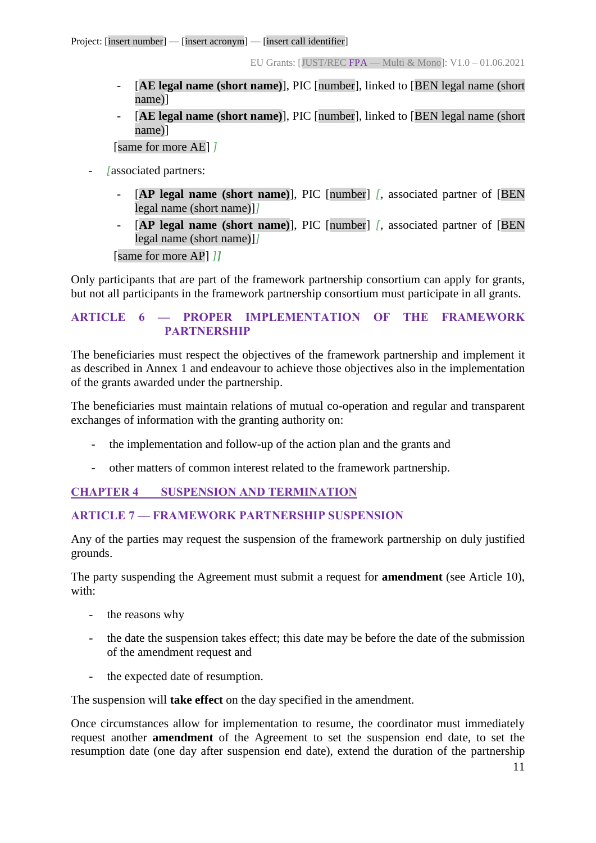- [**AE legal name (short name)**], PIC [number], linked to [BEN legal name (short name)]
- [**AE legal name (short name)**], PIC [number], linked to [BEN legal name (short name)]

[same for more AE] *]*

- *[*associated partners:
	- [**AP legal name (short name)**], PIC [number] *[*, associated partner of [BEN legal name (short name)]*]*
	- [**AP legal name (short name)**], PIC [number] *[*, associated partner of [BEN legal name (short name)]*]*

[same for more AP] *]]*

Only participants that are part of the framework partnership consortium can apply for grants, but not all participants in the framework partnership consortium must participate in all grants.

## <span id="page-10-0"></span>**ARTICLE 6 — PROPER IMPLEMENTATION OF THE FRAMEWORK PARTNERSHIP**

The beneficiaries must respect the objectives of the framework partnership and implement it as described in Annex 1 and endeavour to achieve those objectives also in the implementation of the grants awarded under the partnership.

The beneficiaries must maintain relations of mutual co-operation and regular and transparent exchanges of information with the granting authority on:

- the implementation and follow-up of the action plan and the grants and
- other matters of common interest related to the framework partnership.

## <span id="page-10-1"></span>**CHAPTER 4 SUSPENSION AND TERMINATION**

#### <span id="page-10-2"></span>**ARTICLE 7 — FRAMEWORK PARTNERSHIP SUSPENSION**

Any of the parties may request the suspension of the framework partnership on duly justified grounds.

The party suspending the Agreement must submit a request for **amendment** (see Article 10), with:

- the reasons why
- the date the suspension takes effect; this date may be before the date of the submission of the amendment request and
- the expected date of resumption.

The suspension will **take effect** on the day specified in the amendment.

Once circumstances allow for implementation to resume, the coordinator must immediately request another **amendment** of the Agreement to set the suspension end date, to set the resumption date (one day after suspension end date), extend the duration of the partnership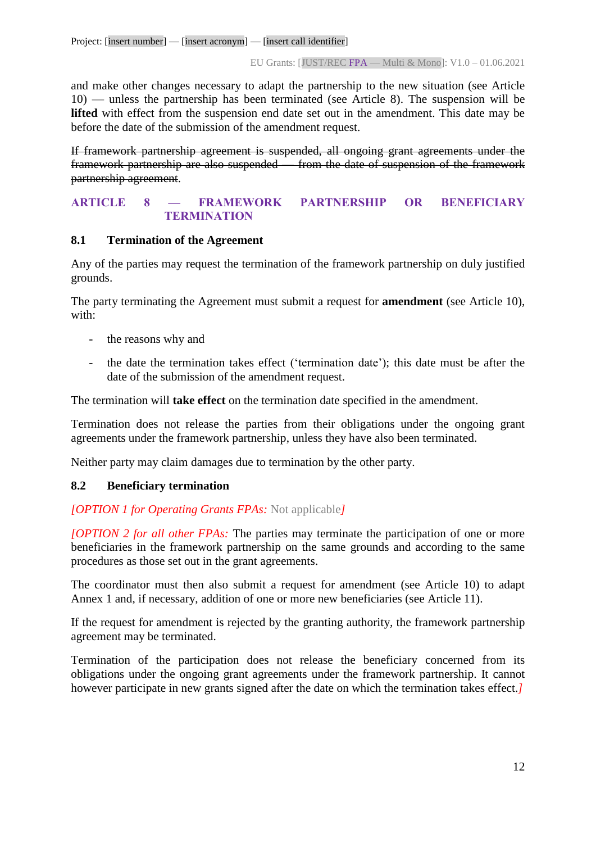and make other changes necessary to adapt the partnership to the new situation (see Article 10) — unless the partnership has been terminated (see Article 8). The suspension will be **lifted** with effect from the suspension end date set out in the amendment. This date may be before the date of the submission of the amendment request.

If framework partnership agreement is suspended, all ongoing grant agreements under the framework partnership are also suspended — from the date of suspension of the framework partnership agreement.

## <span id="page-11-0"></span>**ARTICLE 8 — FRAMEWORK PARTNERSHIP OR BENEFICIARY TERMINATION**

#### <span id="page-11-1"></span>**8.1 Termination of the Agreement**

Any of the parties may request the termination of the framework partnership on duly justified grounds.

The party terminating the Agreement must submit a request for **amendment** (see Article 10), with:

- the reasons why and
- the date the termination takes effect ('termination date'); this date must be after the date of the submission of the amendment request.

The termination will **take effect** on the termination date specified in the amendment.

Termination does not release the parties from their obligations under the ongoing grant agreements under the framework partnership, unless they have also been terminated.

Neither party may claim damages due to termination by the other party.

## <span id="page-11-2"></span>**8.2 Beneficiary termination**

## *[OPTION 1 for Operating Grants FPAs:* Not applicable*]*

*[OPTION 2 for all other FPAs:* The parties may terminate the participation of one or more beneficiaries in the framework partnership on the same grounds and according to the same procedures as those set out in the grant agreements.

The coordinator must then also submit a request for amendment (see Article 10) to adapt Annex 1 and, if necessary, addition of one or more new beneficiaries (see Article 11).

If the request for amendment is rejected by the granting authority*,* the framework partnership agreement may be terminated.

Termination of the participation does not release the beneficiary concerned from its obligations under the ongoing grant agreements under the framework partnership. It cannot however participate in new grants signed after the date on which the termination takes effect.*]*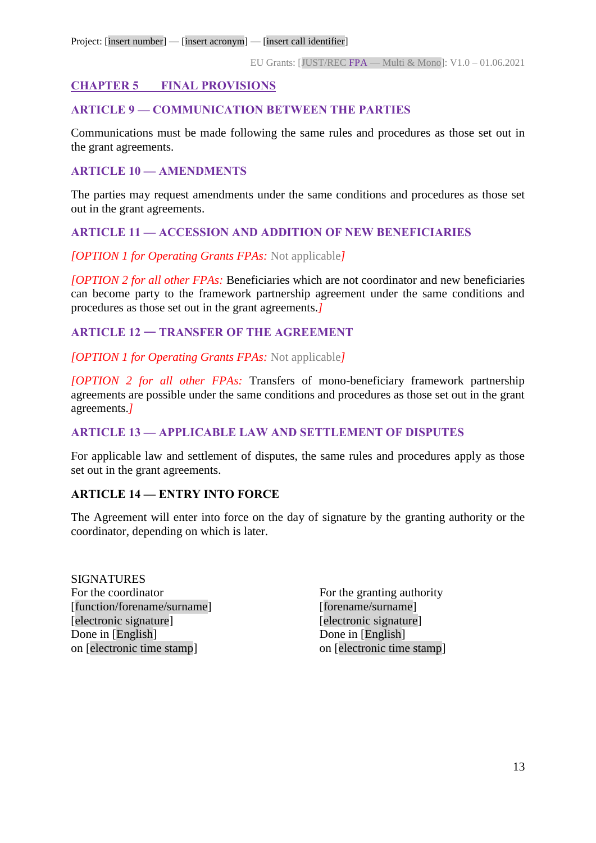## <span id="page-12-0"></span>**CHAPTER 5 FINAL PROVISIONS**

#### <span id="page-12-1"></span>**ARTICLE 9 — COMMUNICATION BETWEEN THE PARTIES**

Communications must be made following the same rules and procedures as those set out in the grant agreements.

## <span id="page-12-2"></span>**ARTICLE 10 — AMENDMENTS**

The parties may request amendments under the same conditions and procedures as those set out in the grant agreements.

## <span id="page-12-3"></span>**ARTICLE 11 — ACCESSION AND ADDITION OF NEW BENEFICIARIES**

## *[OPTION 1 for Operating Grants FPAs:* Not applicable*]*

*[OPTION 2 for all other FPAs:* Beneficiaries which are not coordinator and new beneficiaries can become party to the framework partnership agreement under the same conditions and procedures as those set out in the grant agreements.*]*

## <span id="page-12-4"></span>**ARTICLE 12** — **TRANSFER OF THE AGREEMENT**

*[OPTION 1 for Operating Grants FPAs:* Not applicable*]*

*[OPTION 2 for all other FPAs:* Transfers of mono-beneficiary framework partnership agreements are possible under the same conditions and procedures as those set out in the grant agreements.*]*

## <span id="page-12-5"></span>**ARTICLE 13 — APPLICABLE LAW AND SETTLEMENT OF DISPUTES**

For applicable law and settlement of disputes, the same rules and procedures apply as those set out in the grant agreements.

## <span id="page-12-6"></span>**ARTICLE 14 — ENTRY INTO FORCE**

The Agreement will enter into force on the day of signature by the granting authority or the coordinator, depending on which is later.

SIGNATURES For the coordinator For the granting authority [function/forename/surname] [forename/surname] [electronic signature] [electronic signature] Done in [English] Done in [English] on [electronic time stamp] on [electronic time stamp]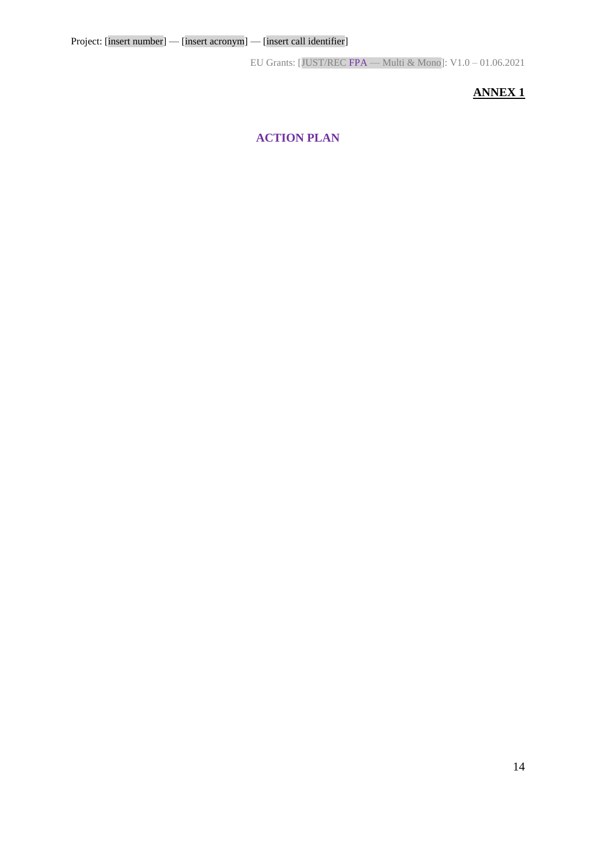## **ANNEX 1**

## **ACTION PLAN**